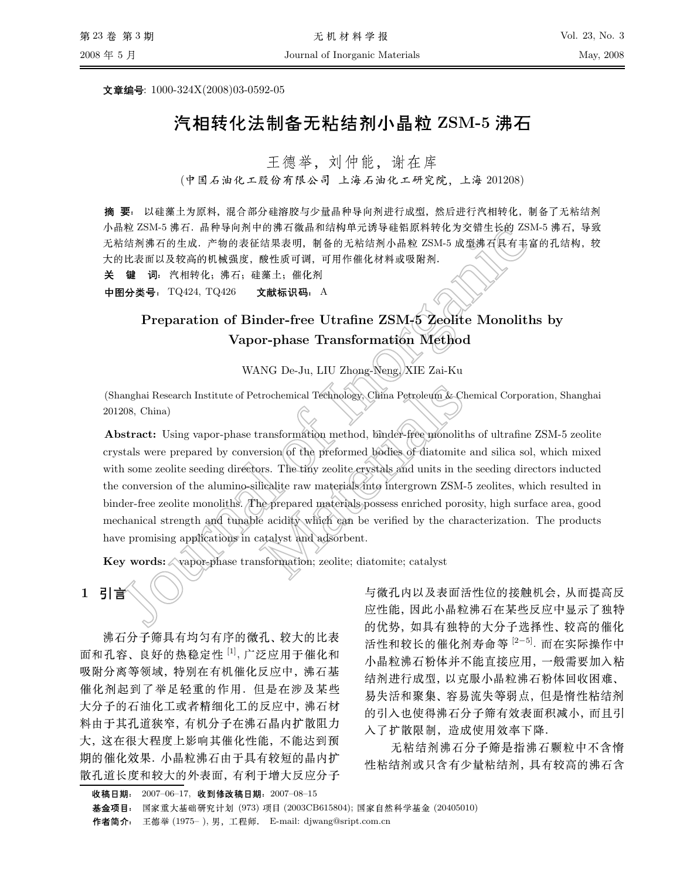文章编号:  $1000-324X(2008)03-0592-05$ 

# 汽相转化法制备无粘结剂小晶粒 ZSM-5 沸石

王德举, 刘仲能, 谢在库

(中国石油化工股份有限公司 上海石油化工研究院, 上海 201208)

3 . Oilean 2011 . In the Elist Charles of The Hotel Charles Charles Hotel Charles The Little Charles Charles C 小晶粒 ZSM-5 沸石. 晶种导向剂中的沸石微晶和结构单元诱导硅铝原料转化为交错生长的 ZSM-5 沸石,导致 无粘结剂沸石的生成. 产物的表征结果表明, 制备的无粘结剂小晶粒 ZSM-5 成型沸石具有丰富的孔结构, 较 大的比表面以及较高的机械强度, 酸性质可调, 可用作催化材料或吸附剂.

<sup>r</sup> <sup>~</sup> <sup>f</sup> <sup>b</sup>B:iUk2

中图分类号: TQ424, TQ426 文献标识码: A

# Preparation of Binder-free Utrafine ZSM-5 Zeolite Monoliths by Vapor-phase Transformation Method

WANG De-Ju, LIU Zhong-Neng, XIE Zai-Ku

(Shanghai Research Institute of Petrochemical Technology, China Petroleum & Chemical Corporation, Shanghai 201208, China)

**facebook**<br>
facebook and the purper space of  $\mathbb{Z}$  and  $\mathbb{Z}$  and  $\mathbb{Z}$  and  $\mathbb{Z}$  and  $\mathbb{Z}$ <br>
facebook and  $\mathbb{Z}$  and  $\mathbb{Z}$  and  $\mathbb{Z}$  and  $\mathbb{Z}$  and  $\mathbb{Z}$  and  $\mathbb{Z}$  and  $\mathbb{Z}$  and  $\mathbb{Z}$  Institute of Petrochemical Technology China Petroleum & Che<br>
wapor-phase transformation method, binder-free monoliths<br>
ared by conversion of the preformed bodies of diatomite a<br>
eeding directors. The tiny zeolite erystal Abstract: Using vapor-phase transformation method, binder-free monoliths of ultrafine ZSM-5 zeolite crystals were prepared by conversion of the preformed bodies of diatomite and silica sol, which mixed with some zeolite seeding directors. The tiny zeolite crystals and units in the seeding directors inducted the conversion of the alumino-silicalite raw materials into intergrown ZSM-5 zeolites, which resulted in binder-free zeolite monoliths. The prepared materials possess enriched porosity, high surface area, good mechanical strength and tunable acidity which can be verified by the characterization. The products have promising applications in catalyst and adsorbent.

Key words:  $\Diamond$  vapor-phase transformation; zeolite; diatomite; catalyst

## $1$ 引言

;H
ibkzb. z-Lv ,1 面和孔容、良好的热稳定性 [1], 广泛应用于催化和 吸附分离等领域, 特别在有机催化反应中, 沸石基 l
3℄dNk8 U[|)~,A vH \_
Y[|
Y 3W1;? 料由于其孔道狭窄, 有机分子在沸石晶内扩散阻力 大,这在很大程度上影响其催化性能,不能达到预 Y l
oZ;^hibL" ZH zM!zLv \17b
hv3WH

zh a vez a kar ha a vez e vez e gant ha ha a mar a vez e ha kar a vez e ha a vez e ha a vez e ha vez e ha vez  $\mu$  , the set  $\mu$  as the set  $\mu$  and  $\mu$  as the set  $\mu$  as  $\mu$  as  $\mu$  as  $\mu$  as  $\mu$  as  $\mu$ 的优势,如具有独特的大分子选择性、较高的催化 活性和较长的催化剂寿命等 <sup>[2−5]</sup>. 而在实际操作中  $\overline{a}$  , and  $\overline{a}$  , and  $\overline{a}$  , and  $\overline{a}$  , and  $\overline{a}$  , and  $\overline{a}$  , and  $\overline{a}$  , and  $\overline{a}$  ,  $\overline{a}$  ,  $\overline{a}$  ,  $\overline{a}$  ,  $\overline{a}$  ,  $\overline{a}$  ,  $\overline{a}$  ,  $\overline{a}$  ,  $\overline{a}$  ,  $\overline{a}$  ,  $\overline{a$ 结剂进行成型,以克服小晶粒沸石粉体回收困难、  $\mathcal{L}$  , and the set of  $\mathcal{L}$  and  $\mathcal{L}$  and  $\mathcal{L}$  and  $\mathcal{L}$  . The set of  $\mathcal{L}$ 的引入也使得沸石分子筛有效表面积减小, 而且引 -+T\$[)C

无粘结剂沸石分子筛是指沸石颗粒中不含惰 \*R3\$sbR3ibLT ;s

**基金项目**: 国家重大基础研究计划 (973) 项目 (2003CB615804); 国家自然科学基金 (20405010) 作者简介: 王德举 (1975– ), 男,工程师. E-mail: djwang@sript.com.cn

收稿日期: 2007–06–17, 收到修改稿日期:2007–08–15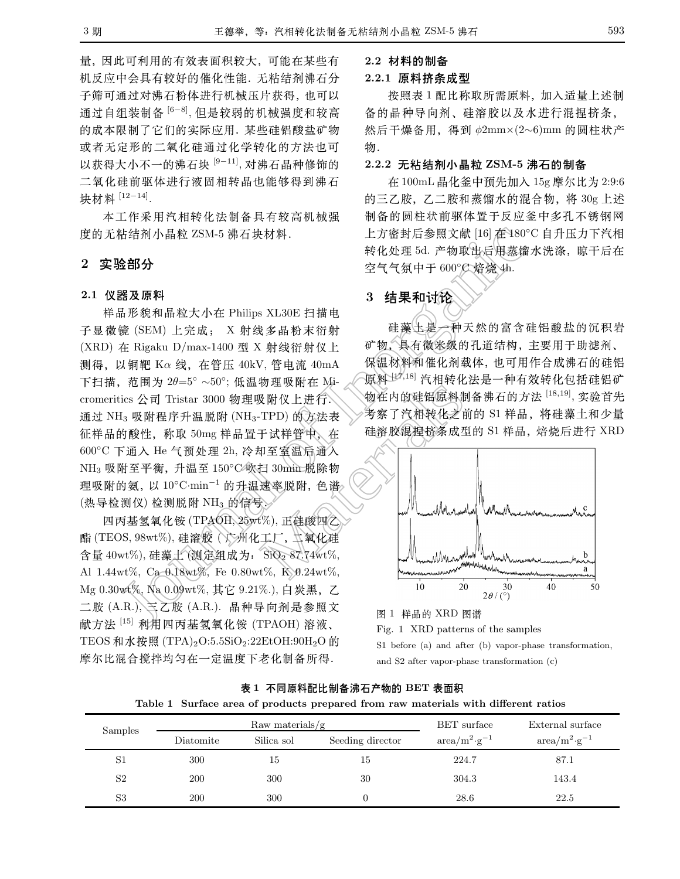量,因此可利用的有效表面积较大,可能在某些有 机反应中会具有较好的催化性能. 无粘结剂沸石分 子筛可通过对沸石粉体进行机械压片获得, 也可以 通过自组装制备 <sup>[6-8]</sup>, 但是较弱的机械强度和较高 的成本限制了它们的实际应用, 某些硅铝酸盐矿物 或者无定形的二氧化硅通过化学转化的方法也可 以获得大小不一的沸石块 [9-11], 对沸石晶种修饰的 二氧化硅前驱体进行液固相转晶也能够得到沸石 块材料 [12-14].

本工作采用汽相转化法制备具有较高机械强 度的无粘结剂小晶粒 ZSM-5 沸石块材料.

#### $2<sup>1</sup>$ 实验部分

#### 2.1 仪器及原料

样品形貌和晶粒大小在 Philips XL30E 扫描电 子显微镜 (SEM) 上完成; X 射线多晶粉末衍射 (XRD) 在 Rigaku D/max-1400 型 X 射线衍射仪上 测得, 以铜靶 Kα线, 在管压 40kV, 管电流 40mA 下扫描, 范围为  $2\theta=5^\circ \sim 50^\circ$ ; 低温物理吸附在 Micromeritics 公司 Tristar 3000 物理吸附仪上进行, 通过 NH<sub>3</sub> 吸附程序升温脱附 (NH<sub>3</sub>-TPD) 的方法表 征样品的酸性, 称取 50mg 样品置于试样管中, 在 600°C 下通入 He 气预处理 2h, 冷却至室温后通入 NH<sub>3</sub> 吸附至平衡, 升温至 150℃ 吹扫 30min 脱除物 理吸附的氨, 以 10°C·min<sup>-1</sup> 的升温速率脱附, 色谱。 (热导检测仪)检测脱附 NH3 的信号 >

四丙基氢氧化铵 (TPAOH, 25wt%), 正硅酸四乙 酯 (TEOS, 98wt%), 硅溶胶 (广州化工厂, 工氧化硅 含量 40wt%), 硅藻土(测定组成为: SiO2 87.74wt%, Al 1.44wt%, Ca 0.18wt%, Fe 0.80wt%, K 0.24wt%, Mg 0.30wt%, Na 0.09wt%, 其它 9.21%.), 白炭黑, 乙 二胺 (A.R.)、三乙胺 (A.R.). 晶种导向剂是参照文 献方法<sup>[15]</sup> 利用四丙基氢氧化铵 (TPAOH) 溶液、 TEOS 和水按照 (TPA)<sub>2</sub>O:5.5SiO<sub>2</sub>:22EtOH:90H<sub>2</sub>O 的 摩尔比混合搅拌均匀在一定温度下老化制备所得.

#### 2.2 材料的制备

#### 2.2.1 原料挤条成型

按照表1配比称取所需原料,加入适量上述制 备的晶种导向剂、硅溶胶以及水进行混捏挤条, 然后干燥备用, 得到  $\phi2mm\times(2\sim6)mm$  的圆柱状产 物.

#### 2.2.2 无粘结剂小晶粒 ZSM-5 沸石的制备

在 100mL 晶化釜中预先加入 15g 摩尔比为 2:9:6 的三乙胺,乙二胺和蒸馏水的混合物, 将 30g 上述 制备的圆柱状前驱体置于反应釜中多孔不锈钢网 上方密封后参照文献 [16] 在180°C 自升压力下汽相 转化处理 5d. 产物取出后用蒸馏水洗涤, 晾干后在 空气气氛中于 600°C 焙烧 4h.

### 3 结果和讨论

硅藻土是一种天然的富含硅铝酸盐的沉积岩 矿物, 具有微米级的孔道结构, 主要用于助滤剂、 保温材料和催化剂载体,也可用作合成沸石的硅铝 原料 17,18 汽相转化法是一种有效转化包括硅铝矿 物在内的硅铝原料制备沸石的方法 [18,19], 实验首先 考察了汽相转化之前的 S1 样品, 将硅藻土和少量 硅溶胶混桿挤条成型的 S1 样品, 焙烧后进行 XRD



#### 图 1 样品的 XRD 图谱

Fig. 1 XRD patterns of the samples

S1 before (a) and after (b) vapor-phase transformation, and S2 after vapor-phase transformation  $(c)$ 

| 表 1 不同原料配比制备沸石产物的 BET 表面积 |                                                                                    |  |  |  |  |  |  |
|---------------------------|------------------------------------------------------------------------------------|--|--|--|--|--|--|
|                           | Table 1 Surface area of products prepared from raw materials with different ratios |  |  |  |  |  |  |

| Samples        | Raw materials/ $g$ |            |                  | BET surface                  | External surface             |
|----------------|--------------------|------------|------------------|------------------------------|------------------------------|
|                | Diatomite          | Silica sol | Seeding director | $\rm{area/m^2 \cdot g^{-1}}$ | $\rm{area/m^2 \cdot g^{-1}}$ |
| S1             | 300                | 15         | 15               | 224.7                        | 87.1                         |
| S <sub>2</sub> | 200                | 300        | 30               | 304.3                        | 143.4                        |
| S3             | 200                | 300        |                  | 28.6                         | 22.5                         |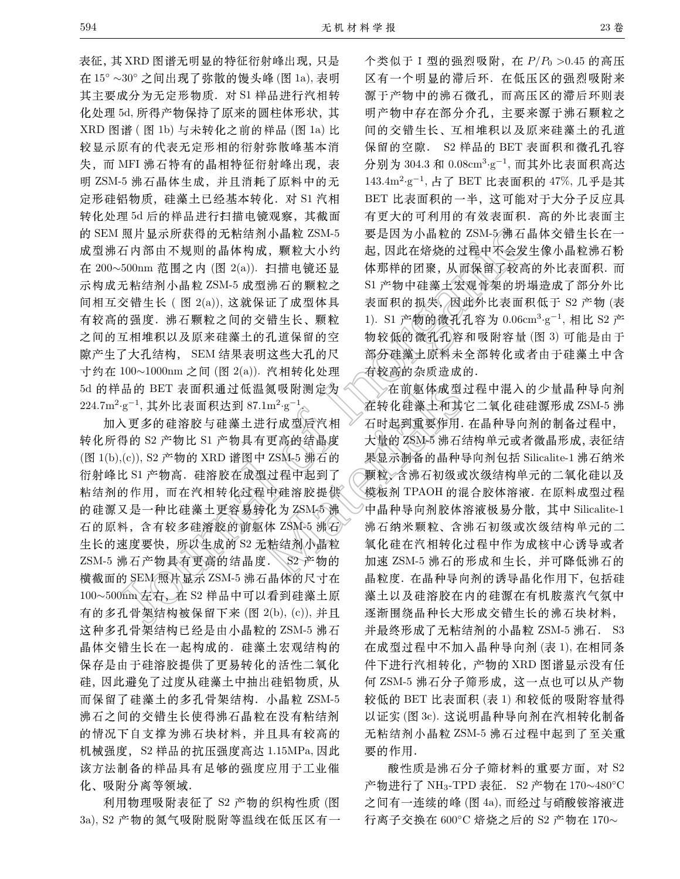表征, 其 XRD 图谱无明显的特征衍射峰出现, 只是 在15°~30°之间出现了弥散的馒头峰(图1a),表明 其主要成分为无定形物质. 对 S1 样品进行汽相转 化处理 5d, 所得产物保持了原来的圆柱体形状, 其 XRD 图谱 (图 1b) 与未转化之前的样品 (图 1a) 比 较显示原有的代表无定形相的衍射弥散峰基本消 失,而 MFI 沸石特有的晶相特征衍射峰出现,表 明 ZSM-5 沸石晶体生成, 并且消耗了原料中的无 定形硅铝物质,硅藻土已经基本转化. 对 S1 汽相 转化处理 5d 后的样品进行扫描电镜观察, 其截面 的 SEM 照片显示所获得的无粘结剂小晶粒 ZSM-5 成型沸石内部由不规则的晶体构成, 颗粒大小约 在 200~500nm 范围之内 (图 2(a)). 扫描电镜还显 示构成无粘结剂小晶粒 ZSM-5 成型沸石的颗粒之 间相互交错生长 (图 2(a)), 这就保证了成型体具 有较高的强度. 沸石颗粒之间的交错生长、颗粒 之间的互相堆积以及原来硅藻土的孔道保留的空 隙产生了大孔结构, SEM 结果表明这些大孔的尺 寸约在 100~1000nm 之间 (图 2(a)). 汽相转化处理 5d 的样品的 BET 表面积通过低温氮吸附测定为 224.7m<sup>2</sup>·g<sup>-1</sup>, 其外比表面积达到 87.1m<sup>2</sup>·g<sup>-1</sup>

加入更多的硅溶胶与硅藻土进行成型后汽相 转化所得的 S2 产物比 S1 产物具有更高的结晶度 (图 1(b),(c)), S2 产物的 XRD 谱图中 ZSM-5 沸石的 衍射峰比 S1 产物高. 硅溶胶在成型过程中起到了 粘结剂的作用, 而在汽相转化过程中硅溶胶提供 的硅源又是一种比硅藻土更容易转化为ZSM5沸 石的原料,含有较多硅溶胶的前躯体 ZSM-5 沸石 生长的速度要快, 所以生成的 S2 无粘结剂小晶粒 ZSM-5 沸石产物具有更高的结晶度. S2 产物的 横截面的 SEM/照片显示 ZSM-5 沸石晶体的尺寸在 100~500nm 左右, 在 S2 样品中可以看到硅藻土原 有的多孔骨架结构被保留下来 (图 2(b), (c)), 并且 这种多孔骨架结构已经是由小晶粒的 ZSM-5 沸石 晶体交错生长在一起构成的. 硅藻土宏观结构的 保存是由于硅溶胶提供了更易转化的活性二氧化 硅,因此避免了过度从硅藻土中抽出硅铝物质,从 而保留了硅藻土的多孔骨架结构. 小晶粒 ZSM-5 沸石之间的交错生长使得沸石晶粒在没有粘结剂 的情况下自支撑为沸石块材料,并且具有较高的 机械强度, S2 样品的抗压强度高达 1.15MPa, 因此 该方法制备的样品具有足够的强度应用于工业催 化、吸附分离等领域.

利用物理吸附表征了 S2 产物的织构性质 (图 3a), S2 产物的氮气吸附脱附等温线在低压区有一

个类似于 I 型的强烈吸附, 在 P/Po >0.45 的高压 区有一个明显的滞后环. 在低压区的强烈吸附来 源于产物中的沸石微孔,而高压区的滞后环则表 明产物中存在部分介孔, 主要来源于沸石颗粒之 间的交错生长、互相堆积以及原来硅藻土的孔道 保留的空隙. S2 样品的 BET 表面积和微孔孔容 分别为 304.3 和 0.08cm<sup>3</sup>·g<sup>-1</sup>, 而其外比表面积高达 143.4m<sup>2</sup>·g<sup>-1</sup>, 占了 BET 比表面积的 47%, 几乎是其 BET 比表面积的一半, 这可能对于大分子反应具 有更大的可利用的有效表面积. 高的外比表面主 要是因为小晶粒的 ZSM-5 沸石晶体交错生长在一 起,因此在焙烧的过程中不会发生像小晶粒沸石粉 体那样的团聚, 从而保留了较高的外比表面积. 而 S1 产物中硅藻土宏观骨架的坍塌造成了部分外比 表面积的损失, 因此外比表面积低于 S2 产物 (表 1). S1 产物的微孔孔容为 0.06cm<sup>3</sup>·g<sup>-1</sup>, 相比 S2 产 物较低的微孔孔容和吸附容量(图3)可能是由于 部分硅藻土原料未全部转化或者由于硅藻土中含 有较高的杂质造成的.

在前躯体成型过程中混入的少量晶种导向剂 在转化硅藻土和其它二氧化硅硅源形成 ZSM-5 沸 石时起到重要作用. 在晶种导向剂的制备过程中, 大量的 ZSM-5 沸石结构单元或者微晶形成, 表征结 果显示制备的晶种导向剂包括 Silicalite-1 沸石纳米 颗粒、含沸石初级或次级结构单元的二氧化硅以及 模板剂 TPAOH 的混合胶体溶液. 在原料成型过程 中晶种导向剂胶体溶液极易分散,其中 Silicalite-1 沸石纳米颗粒、含沸石初级或次级结构单元的二 氧化硅在汽相转化过程中作为成核中心诱导或者 加速 ZSM-5 沸石的形成和生长, 并可降低沸石的 晶粒度. 在晶种导向剂的诱导晶化作用下, 包括硅 藻土以及硅溶胶在内的硅源在有机胺蒸汽气氛中 逐渐围绕晶种长大形成交错生长的沸石块材料, 并最终形成了无粘结剂的小晶粒 ZSM-5 沸石. S3 在成型过程中不加入晶种导向剂 (表 1), 在相同条 件下进行汽相转化,产物的 XRD 图谱显示没有任 何 ZSM-5 沸石分子筛形成, 这一点也可以从产物 较低的 BET 比表面积 (表 1) 和较低的吸附容量得 以证实(图 3c). 这说明晶种导向剂在汽相转化制备 无粘结剂小晶粒 ZSM-5 沸石过程中起到了至关重 要的作用.

酸性质是沸石分子筛材料的重要方面, 对 S2 产物进行了 NH<sub>3</sub>-TPD 表征. S2 产物在 170~480℃ 之间有一连续的峰 (图 4a), 而经过与硝酸铵溶液进 行离子交换在 600℃ 焙烧之后的 S2 产物在 170~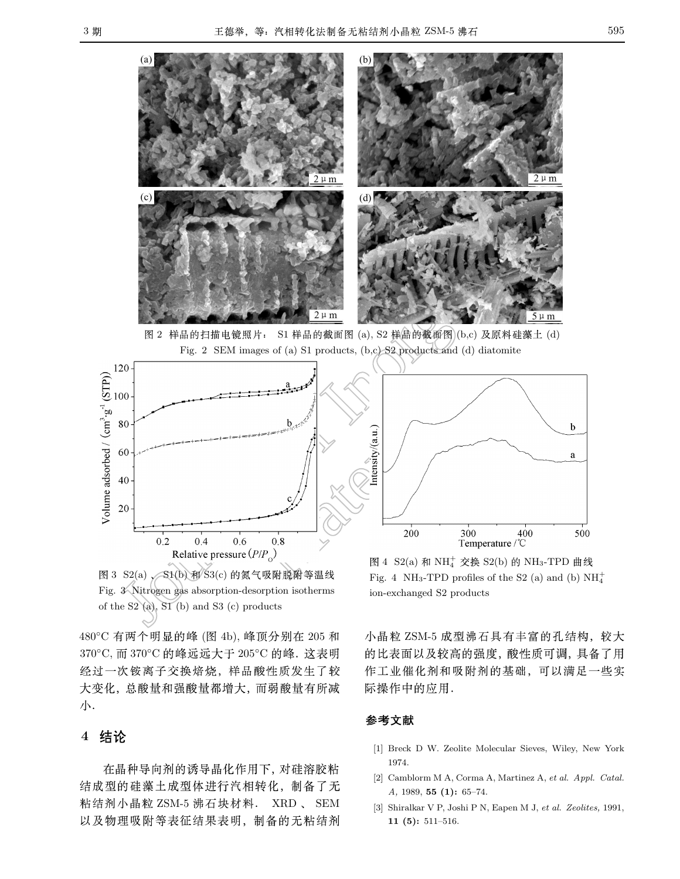

图 2 样品的扫描电镜照片: S1 样品的截面图 (a), S2 样品的截面图 (b,c) 及原料硅藻土 (d) Fig. 2 SEM images of (a) S1 products, (b,c) S2 products and (d) diatomite



图 3  $S2(a)$   $\leq$   $S1(b)$  和  $S3(c)$  的氮气吸附脱附等温线 Fig. 3 Nitrogen gas absorption-desorption isotherms of the  $S2$  (a),  $S1$  (b) and  $S3$  (c) products

480℃ 有两个明显的峰 (图 4b), 峰顶分别在 205 和 370℃, 而 370℃ 的峰远远大于 205℃ 的峰. 这表明 经过一次铵离子交换焙烧,样品酸性质发生了较 大变化, 总酸量和强酸量都增大, 而弱酸量有所减 小.

### 4 结论

}X3}1d}XSY~\$h{D 结成型的硅藻土成型体进行汽相转化, 制备了无 粘结剂小晶粒 ZSM-5 沸石块材料. XRD 、 SEM  $\sim$  1.2 M  $\sim$  1.4 M  $\sim$  1.4 M  $\sim$  1.4 M  $\sim$  1.5 M  $\sim$  1.4 M  $\sim$  1.4 M  $\sim$  1.4 M  $\sim$  1.4 M  $\sim$  1.4 M

图 4 S2(a) 和 NH<sup>+</sup> 交换 S2(b) 的 NH<sub>3</sub>-TPD 曲线 Fig. 4 NH<sub>3</sub>-TPD profiles of the S2 (a) and (b)  $NH_4^+$ ion-exchanged S2 products

小晶粒 ZSM-5 成型沸石具有丰富的孔结构, 较大 的比表面以及较高的强度,酸性质可调,具备了用 作工业催化剂和吸附剂的基础,可以满足一些实 际操作中的应用.

### 参考文献

- [1] Breck D W. Zeolite Molecular Sieves, Wiley, New York 1974.
- [2] Camblorm M A, Corma A, Martinez A, et al. Appl. Catal. A, 1989, 55 (1): 65–74.
- [3] Shiralkar V P, Joshi P N, Eapen M J, et al. Zeolites, 1991, 11 (5): 511–516.